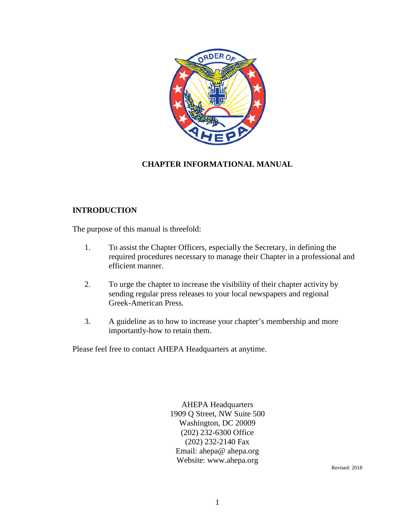

# **CHAPTER INFORMATIONAL MANUAL**

## **INTRODUCTION**

The purpose of this manual is threefold:

- 1. To assist the Chapter Officers, especially the Secretary, in defining the required procedures necessary to manage their Chapter in a professional and efficient manner.
- 2. To urge the chapter to increase the visibility of their chapter activity by sending regular press releases to your local newspapers and regional Greek-American Press.
- 3. A guideline as to how to increase your chapter's membership and more importantly-how to retain them.

Please feel free to contact AHEPA Headquarters at anytime.

AHEPA Headquarters 1909 Q Street, NW Suite 500 Washington, DC 20009 (202) 232-6300 Office (202) 232-2140 Fax Email: ahepa@ ahepa.org Website: www.ahepa.org

Revised: 2018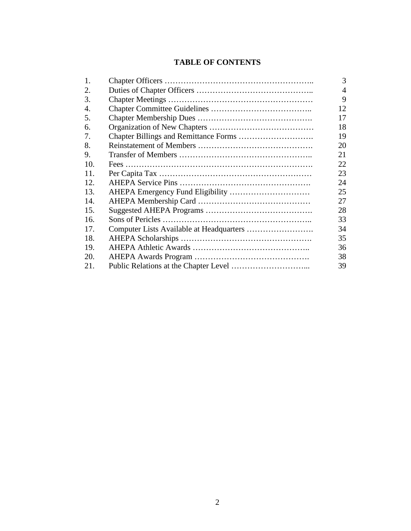# **TABLE OF CONTENTS**

| 1.  | 3              |
|-----|----------------|
| 2.  | $\overline{4}$ |
| 3.  | 9              |
| 4.  | 12             |
| 5.  | 17             |
| 6.  | 18             |
| 7.  | 19             |
| 8.  | 20             |
| 9.  | 21             |
| 10. | 22             |
| 11. | 23             |
| 12. | 24             |
| 13. | 25             |
| 14. | 27             |
| 15. | 28             |
| 16. | 33             |
| 17. | 34             |
| 18. | 35             |
| 19. | 36             |
| 20. | 38             |
| 21. | 39             |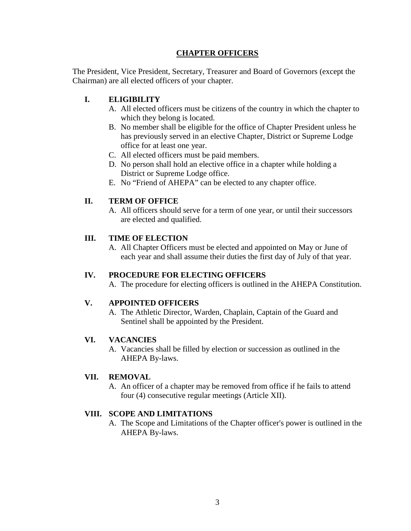## **CHAPTER OFFICERS**

The President, Vice President, Secretary, Treasurer and Board of Governors (except the Chairman) are all elected officers of your chapter.

# **I. ELIGIBILITY**

- A. All elected officers must be citizens of the country in which the chapter to which they belong is located.
- B. No member shall be eligible for the office of Chapter President unless he has previously served in an elective Chapter, District or Supreme Lodge office for at least one year.
- C. All elected officers must be paid members.
- D. No person shall hold an elective office in a chapter while holding a District or Supreme Lodge office.
- E. No "Friend of AHEPA" can be elected to any chapter office.

## **II. TERM OF OFFICE**

A. All officers should serve for a term of one year, or until their successors are elected and qualified.

#### **III. TIME OF ELECTION**

A. All Chapter Officers must be elected and appointed on May or June of each year and shall assume their duties the first day of July of that year.

#### **IV. PROCEDURE FOR ELECTING OFFICERS**

A. The procedure for electing officers is outlined in the AHEPA Constitution.

#### **V. APPOINTED OFFICERS**

A. The Athletic Director, Warden, Chaplain, Captain of the Guard and Sentinel shall be appointed by the President.

#### **VI. VACANCIES**

A. Vacancies shall be filled by election or succession as outlined in the AHEPA By-laws.

#### **VII. REMOVAL**

A. An officer of a chapter may be removed from office if he fails to attend four (4) consecutive regular meetings (Article XII).

#### **VIII. SCOPE AND LIMITATIONS**

A. The Scope and Limitations of the Chapter officer's power is outlined in the AHEPA By-laws.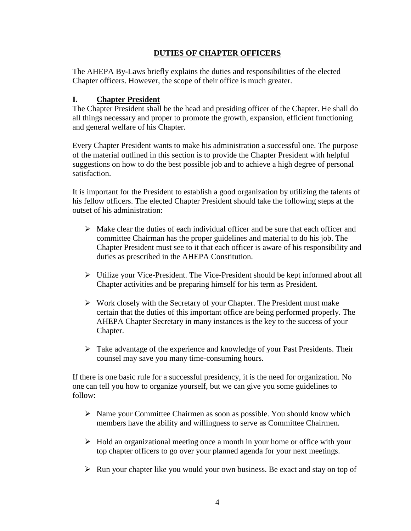# **DUTIES OF CHAPTER OFFICERS**

The AHEPA By-Laws briefly explains the duties and responsibilities of the elected Chapter officers. However, the scope of their office is much greater.

# **I. Chapter President**

The Chapter President shall be the head and presiding officer of the Chapter. He shall do all things necessary and proper to promote the growth, expansion, efficient functioning and general welfare of his Chapter.

Every Chapter President wants to make his administration a successful one. The purpose of the material outlined in this section is to provide the Chapter President with helpful suggestions on how to do the best possible job and to achieve a high degree of personal satisfaction.

It is important for the President to establish a good organization by utilizing the talents of his fellow officers. The elected Chapter President should take the following steps at the outset of his administration:

- $\triangleright$  Make clear the duties of each individual officer and be sure that each officer and committee Chairman has the proper guidelines and material to do his job. The Chapter President must see to it that each officer is aware of his responsibility and duties as prescribed in the AHEPA Constitution.
- Utilize your Vice-President. The Vice-President should be kept informed about all Chapter activities and be preparing himself for his term as President.
- $\triangleright$  Work closely with the Secretary of your Chapter. The President must make certain that the duties of this important office are being performed properly. The AHEPA Chapter Secretary in many instances is the key to the success of your Chapter.
- $\triangleright$  Take advantage of the experience and knowledge of your Past Presidents. Their counsel may save you many time-consuming hours.

If there is one basic rule for a successful presidency, it is the need for organization. No one can tell you how to organize yourself, but we can give you some guidelines to follow:

- $\triangleright$  Name your Committee Chairmen as soon as possible. You should know which members have the ability and willingness to serve as Committee Chairmen.
- $\triangleright$  Hold an organizational meeting once a month in your home or office with your top chapter officers to go over your planned agenda for your next meetings.
- $\triangleright$  Run your chapter like you would your own business. Be exact and stay on top of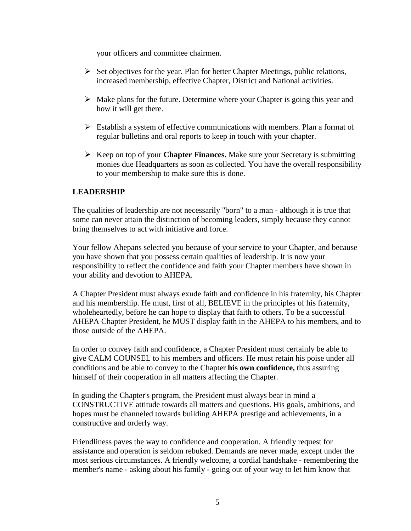your officers and committee chairmen.

- $\triangleright$  Set objectives for the year. Plan for better Chapter Meetings, public relations, increased membership, effective Chapter, District and National activities.
- $\triangleright$  Make plans for the future. Determine where your Chapter is going this year and how it will get there.
- $\triangleright$  Establish a system of effective communications with members. Plan a format of regular bulletins and oral reports to keep in touch with your chapter.
- Keep on top of your **Chapter Finances.** Make sure your Secretary is submitting monies due Headquarters as soon as collected. You have the overall responsibility to your membership to make sure this is done.

## **LEADERSHIP**

The qualities of leadership are not necessarily "born" to a man - although it is true that some can never attain the distinction of becoming leaders, simply because they cannot bring themselves to act with initiative and force.

Your fellow Ahepans selected you because of your service to your Chapter, and because you have shown that you possess certain qualities of leadership. It is now your responsibility to reflect the confidence and faith your Chapter members have shown in your ability and devotion to AHEPA.

A Chapter President must always exude faith and confidence in his fraternity, his Chapter and his membership. He must, first of all, BELIEVE in the principles of his fraternity, wholeheartedly, before he can hope to display that faith to others. To be a successful AHEPA Chapter President, he MUST display faith in the AHEPA to his members, and to those outside of the AHEPA.

In order to convey faith and confidence, a Chapter President must certainly be able to give CALM COUNSEL to his members and officers. He must retain his poise under all conditions and be able to convey to the Chapter **his own confidence,** thus assuring himself of their cooperation in all matters affecting the Chapter.

In guiding the Chapter's program, the President must always bear in mind a CONSTRUCTIVE attitude towards all matters and questions. His goals, ambitions, and hopes must be channeled towards building AHEPA prestige and achievements, in a constructive and orderly way.

Friendliness paves the way to confidence and cooperation. A friendly request for assistance and operation is seldom rebuked. Demands are never made, except under the most serious circumstances. A friendly welcome, a cordial handshake - remembering the member's name - asking about his family - going out of your way to let him know that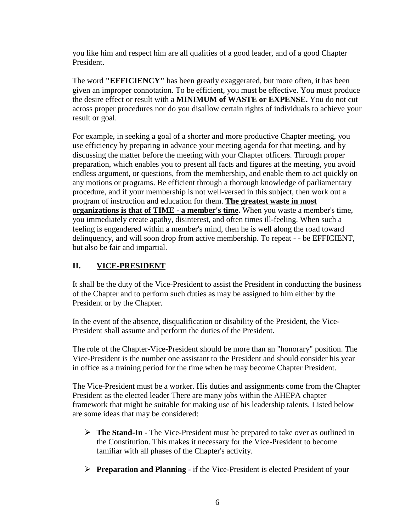you like him and respect him are all qualities of a good leader, and of a good Chapter President.

The word **"EFFICIENCY"** has been greatly exaggerated, but more often, it has been given an improper connotation. To be efficient, you must be effective. You must produce the desire effect or result with a **MINIMUM of WASTE or EXPENSE.** You do not cut across proper procedures nor do you disallow certain rights of individuals to achieve your result or goal.

For example, in seeking a goal of a shorter and more productive Chapter meeting, you use efficiency by preparing in advance your meeting agenda for that meeting, and by discussing the matter before the meeting with your Chapter officers. Through proper preparation, which enables you to present all facts and figures at the meeting, you avoid endless argument, or questions, from the membership, and enable them to act quickly on any motions or programs. Be efficient through a thorough knowledge of parliamentary procedure, and if your membership is not well-versed in this subject, then work out a program of instruction and education for them. **The greatest waste in most organizations is that of TIME - a member's time.** When you waste a member's time, you immediately create apathy, disinterest, and often times ill-feeling. When such a feeling is engendered within a member's mind, then he is well along the road toward delinquency, and will soon drop from active membership. To repeat - - be EFFICIENT, but also be fair and impartial.

# **II. VICE-PRESIDENT**

It shall be the duty of the Vice-President to assist the President in conducting the business of the Chapter and to perform such duties as may be assigned to him either by the President or by the Chapter.

In the event of the absence, disqualification or disability of the President, the Vice-President shall assume and perform the duties of the President.

The role of the Chapter-Vice-President should be more than an "honorary" position. The Vice-President is the number one assistant to the President and should consider his year in office as a training period for the time when he may become Chapter President.

The Vice-President must be a worker. His duties and assignments come from the Chapter President as the elected leader There are many jobs within the AHEPA chapter framework that might be suitable for making use of his leadership talents. Listed below are some ideas that may be considered:

- **The Stand-In**  The Vice-President must be prepared to take over as outlined in the Constitution. This makes it necessary for the Vice-President to become familiar with all phases of the Chapter's activity.
- **Preparation and Planning**  if the Vice-President is elected President of your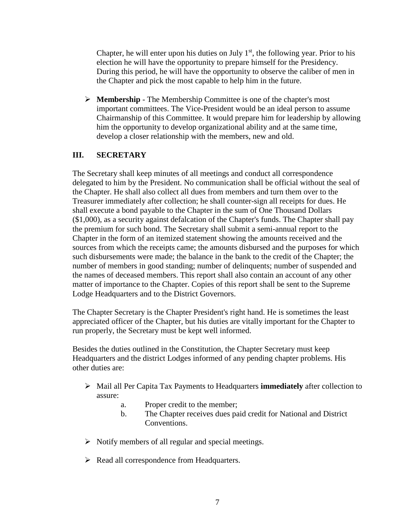Chapter, he will enter upon his duties on July  $1<sup>st</sup>$ , the following year. Prior to his election he will have the opportunity to prepare himself for the Presidency. During this period, he will have the opportunity to observe the caliber of men in the Chapter and pick the most capable to help him in the future.

 **Membership** - The Membership Committee is one of the chapter's most important committees. The Vice-President would be an ideal person to assume Chairmanship of this Committee. It would prepare him for leadership by allowing him the opportunity to develop organizational ability and at the same time, develop a closer relationship with the members, new and old.

# **III. SECRETARY**

The Secretary shall keep minutes of all meetings and conduct all correspondence delegated to him by the President. No communication shall be official without the seal of the Chapter. He shall also collect all dues from members and turn them over to the Treasurer immediately after collection; he shall counter-sign all receipts for dues. He shall execute a bond payable to the Chapter in the sum of One Thousand Dollars (\$1,000), as a security against defalcation of the Chapter's funds. The Chapter shall pay the premium for such bond. The Secretary shall submit a semi-annual report to the Chapter in the form of an itemized statement showing the amounts received and the sources from which the receipts came; the amounts disbursed and the purposes for which such disbursements were made; the balance in the bank to the credit of the Chapter; the number of members in good standing; number of delinquents; number of suspended and the names of deceased members. This report shall also contain an account of any other matter of importance to the Chapter. Copies of this report shall be sent to the Supreme Lodge Headquarters and to the District Governors.

The Chapter Secretary is the Chapter President's right hand. He is sometimes the least appreciated officer of the Chapter, but his duties are vitally important for the Chapter to run properly, the Secretary must be kept well informed.

Besides the duties outlined in the Constitution, the Chapter Secretary must keep Headquarters and the district Lodges informed of any pending chapter problems. His other duties are:

- Mail all Per Capita Tax Payments to Headquarters **immediately** after collection to assure:
	- a. Proper credit to the member;
	- b. The Chapter receives dues paid credit for National and District Conventions.
- $\triangleright$  Notify members of all regular and special meetings.
- $\triangleright$  Read all correspondence from Headquarters.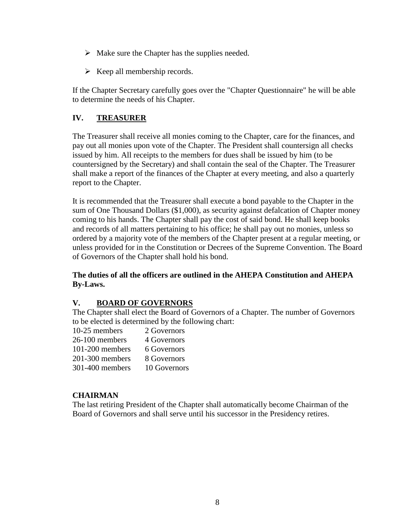- $\triangleright$  Make sure the Chapter has the supplies needed.
- $\triangleright$  Keep all membership records.

If the Chapter Secretary carefully goes over the "Chapter Questionnaire" he will be able to determine the needs of his Chapter.

# **IV. TREASURER**

The Treasurer shall receive all monies coming to the Chapter, care for the finances, and pay out all monies upon vote of the Chapter. The President shall countersign all checks issued by him. All receipts to the members for dues shall be issued by him (to be countersigned by the Secretary) and shall contain the seal of the Chapter. The Treasurer shall make a report of the finances of the Chapter at every meeting, and also a quarterly report to the Chapter.

It is recommended that the Treasurer shall execute a bond payable to the Chapter in the sum of One Thousand Dollars (\$1,000), as security against defalcation of Chapter money coming to his hands. The Chapter shall pay the cost of said bond. He shall keep books and records of all matters pertaining to his office; he shall pay out no monies, unless so ordered by a majority vote of the members of the Chapter present at a regular meeting, or unless provided for in the Constitution or Decrees of the Supreme Convention. The Board of Governors of the Chapter shall hold his bond.

# **The duties of all the officers are outlined in the AHEPA Constitution and AHEPA By-Laws.**

# **V. BOARD OF GOVERNORS**

The Chapter shall elect the Board of Governors of a Chapter. The number of Governors to be elected is determined by the following chart:

| 2 Governors  |
|--------------|
| 4 Governors  |
| 6 Governors  |
| 8 Governors  |
| 10 Governors |
|              |

## **CHAIRMAN**

The last retiring President of the Chapter shall automatically become Chairman of the Board of Governors and shall serve until his successor in the Presidency retires.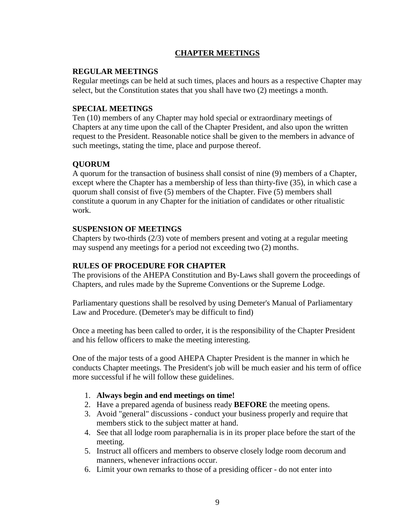## **CHAPTER MEETINGS**

### **REGULAR MEETINGS**

Regular meetings can be held at such times, places and hours as a respective Chapter may select, but the Constitution states that you shall have two (2) meetings a month.

### **SPECIAL MEETINGS**

Ten (10) members of any Chapter may hold special or extraordinary meetings of Chapters at any time upon the call of the Chapter President, and also upon the written request to the President. Reasonable notice shall be given to the members in advance of such meetings, stating the time, place and purpose thereof.

## **QUORUM**

A quorum for the transaction of business shall consist of nine (9) members of a Chapter, except where the Chapter has a membership of less than thirty-five (35), in which case a quorum shall consist of five (5) members of the Chapter. Five (5) members shall constitute a quorum in any Chapter for the initiation of candidates or other ritualistic work.

## **SUSPENSION OF MEETINGS**

Chapters by two-thirds (2/3) vote of members present and voting at a regular meeting may suspend any meetings for a period not exceeding two (2) months.

### **RULES OF PROCEDURE FOR CHAPTER**

The provisions of the AHEPA Constitution and By-Laws shall govern the proceedings of Chapters, and rules made by the Supreme Conventions or the Supreme Lodge.

Parliamentary questions shall be resolved by using Demeter's Manual of Parliamentary Law and Procedure. (Demeter's may be difficult to find)

Once a meeting has been called to order, it is the responsibility of the Chapter President and his fellow officers to make the meeting interesting.

One of the major tests of a good AHEPA Chapter President is the manner in which he conducts Chapter meetings. The President's job will be much easier and his term of office more successful if he will follow these guidelines.

- 1. **Always begin and end meetings on time!**
- 2. Have a prepared agenda of business ready **BEFORE** the meeting opens.
- 3. Avoid "general" discussions conduct your business properly and require that members stick to the subject matter at hand.
- 4. See that all lodge room paraphernalia is in its proper place before the start of the meeting.
- 5. Instruct all officers and members to observe closely lodge room decorum and manners, whenever infractions occur.
- 6. Limit your own remarks to those of a presiding officer do not enter into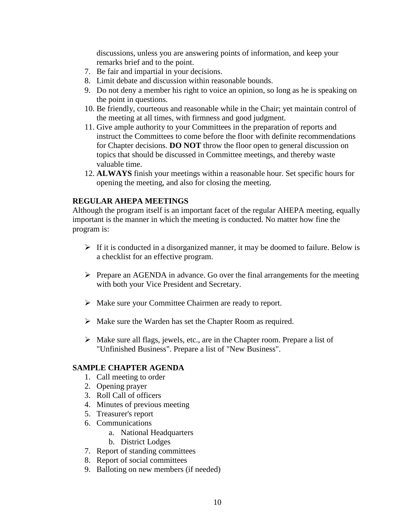discussions, unless you are answering points of information, and keep your remarks brief and to the point.

- 7. Be fair and impartial in your decisions.
- 8. Limit debate and discussion within reasonable bounds.
- 9. Do not deny a member his right to voice an opinion, so long as he is speaking on the point in questions.
- 10. Be friendly, courteous and reasonable while in the Chair; yet maintain control of the meeting at all times, with firmness and good judgment.
- 11. Give ample authority to your Committees in the preparation of reports and instruct the Committees to come before the floor with definite recommendations for Chapter decisions. **DO NOT** throw the floor open to general discussion on topics that should be discussed in Committee meetings, and thereby waste valuable time.
- 12. **ALWAYS** finish your meetings within a reasonable hour. Set specific hours for opening the meeting, and also for closing the meeting.

#### **REGULAR AHEPA MEETINGS**

Although the program itself is an important facet of the regular AHEPA meeting, equally important is the manner in which the meeting is conducted. No matter how fine the program is:

- $\triangleright$  If it is conducted in a disorganized manner, it may be doomed to failure. Below is a checklist for an effective program.
- $\triangleright$  Prepare an AGENDA in advance. Go over the final arrangements for the meeting with both your Vice President and Secretary.
- $\triangleright$  Make sure your Committee Chairmen are ready to report.
- Make sure the Warden has set the Chapter Room as required.
- $\triangleright$  Make sure all flags, jewels, etc., are in the Chapter room. Prepare a list of "Unfinished Business". Prepare a list of "New Business".

#### **SAMPLE CHAPTER AGENDA**

- 1. Call meeting to order
- 2. Opening prayer
- 3. Roll Call of officers
- 4. Minutes of previous meeting
- 5. Treasurer's report
- 6. Communications
	- a. National Headquarters
	- b. District Lodges
- 7. Report of standing committees
- 8. Report of social committees
- 9. Balloting on new members (if needed)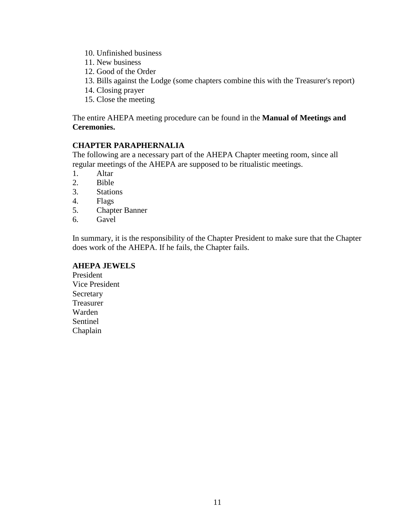- 10. Unfinished business
- 11. New business
- 12. Good of the Order
- 13. Bills against the Lodge (some chapters combine this with the Treasurer's report)
- 14. Closing prayer
- 15. Close the meeting

The entire AHEPA meeting procedure can be found in the **Manual of Meetings and Ceremonies.**

#### **CHAPTER PARAPHERNALIA**

The following are a necessary part of the AHEPA Chapter meeting room, since all regular meetings of the AHEPA are supposed to be ritualistic meetings.

- 1. Altar
- 2. Bible
- 3. Stations
- 4. Flags
- 5. Chapter Banner
- 6. Gavel

In summary, it is the responsibility of the Chapter President to make sure that the Chapter does work of the AHEPA. If he fails, the Chapter fails.

#### **AHEPA JEWELS**

President Vice President **Secretary** Treasurer Warden Sentinel Chaplain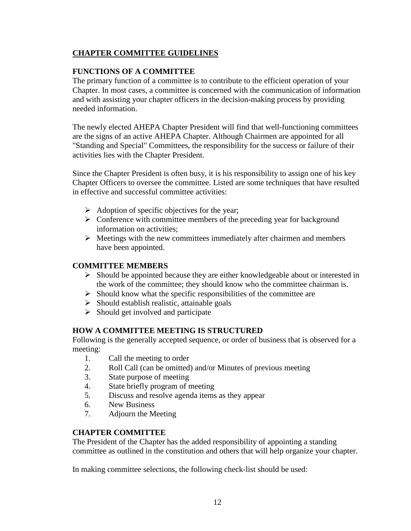# **CHAPTER COMMITTEE GUIDELINES**

## **FUNCTIONS OF A COMMITTEE**

The primary function of a committee is to contribute to the efficient operation of your Chapter. In most cases, a committee is concerned with the communication of information and with assisting your chapter officers in the decision-making process by providing needed information.

The newly elected AHEPA Chapter President will find that well-functioning committees are the signs of an active AHEPA Chapter. Although Chairmen are appointed for all "Standing and Special" Committees, the responsibility for the success or failure of their activities lies with the Chapter President.

Since the Chapter President is often busy, it is his responsibility to assign one of his key Chapter Officers to oversee the committee. Listed are some techniques that have resulted in effective and successful committee activities:

- $\triangleright$  Adoption of specific objectives for the year;
- $\triangleright$  Conference with committee members of the preceding year for background information on activities;
- $\triangleright$  Meetings with the new committees immediately after chairmen and members have been appointed.

## **COMMITTEE MEMBERS**

- $\triangleright$  Should be appointed because they are either knowledgeable about or interested in the work of the committee; they should know who the committee chairman is.
- $\triangleright$  Should know what the specific responsibilities of the committee are
- $\triangleright$  Should establish realistic, attainable goals
- $\triangleright$  Should get involved and participate

## **HOW A COMMITTEE MEETING IS STRUCTURED**

Following is the generally accepted sequence, or order of business that is observed for a meeting:

- 1. Call the meeting to order
- 2. Roll Call (can be omitted) and/or Minutes of previous meeting
- 3. State purpose of meeting
- 4. State briefly program of meeting
- 5. Discuss and resolve agenda items as they appear
- 6. New Business
- 7. Adjourn the Meeting

## **CHAPTER COMMITTEE**

The President of the Chapter has the added responsibility of appointing a standing committee as outlined in the constitution and others that will help organize your chapter.

In making committee selections, the following check-list should be used: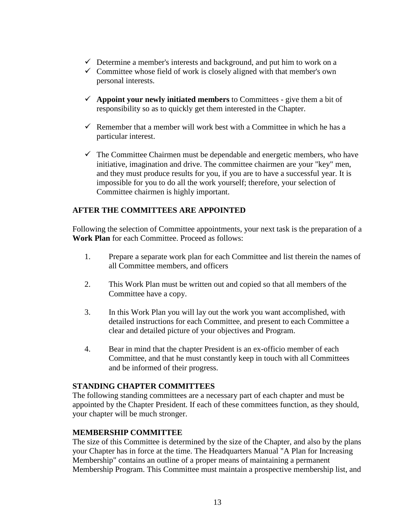- $\checkmark$  Determine a member's interests and background, and put him to work on a
- $\checkmark$  Committee whose field of work is closely aligned with that member's own personal interests.
- $\checkmark$  Appoint your newly initiated members to Committees give them a bit of responsibility so as to quickly get them interested in the Chapter.
- $\checkmark$  Remember that a member will work best with a Committee in which he has a particular interest.
- $\checkmark$  The Committee Chairmen must be dependable and energetic members, who have initiative, imagination and drive. The committee chairmen are your "key" men, and they must produce results for you, if you are to have a successful year. It is impossible for you to do all the work yourself; therefore, your selection of Committee chairmen is highly important.

# **AFTER THE COMMITTEES ARE APPOINTED**

Following the selection of Committee appointments, your next task is the preparation of a **Work Plan** for each Committee. Proceed as follows:

- 1. Prepare a separate work plan for each Committee and list therein the names of all Committee members, and officers
- 2. This Work Plan must be written out and copied so that all members of the Committee have a copy.
- 3. In this Work Plan you will lay out the work you want accomplished, with detailed instructions for each Committee, and present to each Committee a clear and detailed picture of your objectives and Program.
- 4. Bear in mind that the chapter President is an ex-officio member of each Committee, and that he must constantly keep in touch with all Committees and be informed of their progress.

#### **STANDING CHAPTER COMMITTEES**

The following standing committees are a necessary part of each chapter and must be appointed by the Chapter President. If each of these committees function, as they should, your chapter will be much stronger.

## **MEMBERSHIP COMMITTEE**

The size of this Committee is determined by the size of the Chapter, and also by the plans your Chapter has in force at the time. The Headquarters Manual "A Plan for Increasing Membership" contains an outline of a proper means of maintaining a permanent Membership Program. This Committee must maintain a prospective membership list, and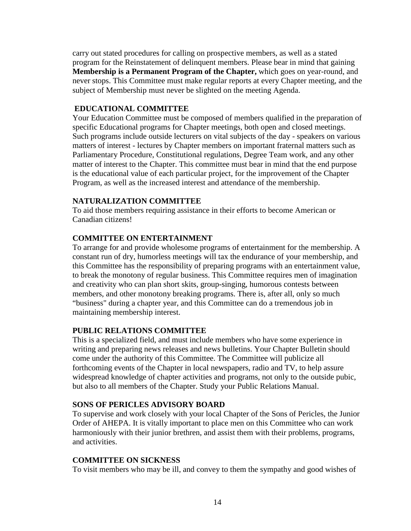carry out stated procedures for calling on prospective members, as well as a stated program for the Reinstatement of delinquent members. Please bear in mind that gaining **Membership is a Permanent Program of the Chapter,** which goes on year-round, and never stops. This Committee must make regular reports at every Chapter meeting, and the subject of Membership must never be slighted on the meeting Agenda.

#### **EDUCATIONAL COMMITTEE**

Your Education Committee must be composed of members qualified in the preparation of specific Educational programs for Chapter meetings, both open and closed meetings. Such programs include outside lecturers on vital subjects of the day - speakers on various matters of interest - lectures by Chapter members on important fraternal matters such as Parliamentary Procedure, Constitutional regulations, Degree Team work, and any other matter of interest to the Chapter. This committee must bear in mind that the end purpose is the educational value of each particular project, for the improvement of the Chapter Program, as well as the increased interest and attendance of the membership.

#### **NATURALIZATION COMMITTEE**

To aid those members requiring assistance in their efforts to become American or Canadian citizens!

#### **COMMITTEE ON ENTERTAINMENT**

To arrange for and provide wholesome programs of entertainment for the membership. A constant run of dry, humorless meetings will tax the endurance of your membership, and this Committee has the responsibility of preparing programs with an entertainment value, to break the monotony of regular business. This Committee requires men of imagination and creativity who can plan short skits, group-singing, humorous contests between members, and other monotony breaking programs. There is, after all, only so much "business" during a chapter year, and this Committee can do a tremendous job in maintaining membership interest.

#### **PUBLIC RELATIONS COMMITTEE**

This is a specialized field, and must include members who have some experience in writing and preparing news releases and news bulletins. Your Chapter Bulletin should come under the authority of this Committee. The Committee will publicize all forthcoming events of the Chapter in local newspapers, radio and TV, to help assure widespread knowledge of chapter activities and programs, not only to the outside pubic, but also to all members of the Chapter. Study your Public Relations Manual.

#### **SONS OF PERICLES ADVISORY BOARD**

To supervise and work closely with your local Chapter of the Sons of Pericles, the Junior Order of AHEPA. It is vitally important to place men on this Committee who can work harmoniously with their junior brethren, and assist them with their problems, programs, and activities.

#### **COMMITTEE ON SICKNESS**

To visit members who may be ill, and convey to them the sympathy and good wishes of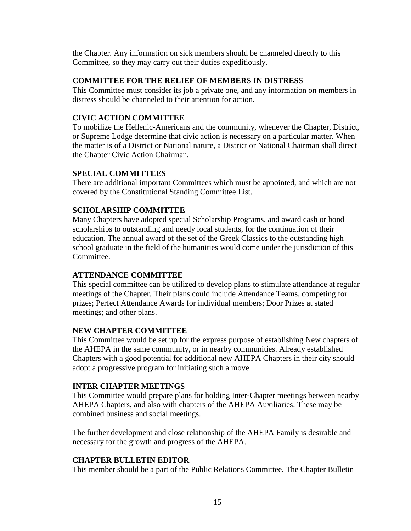the Chapter. Any information on sick members should be channeled directly to this Committee, so they may carry out their duties expeditiously.

#### **COMMITTEE FOR THE RELIEF OF MEMBERS IN DISTRESS**

This Committee must consider its job a private one, and any information on members in distress should be channeled to their attention for action.

# **CIVIC ACTION COMMITTEE**

To mobilize the Hellenic-Americans and the community, whenever the Chapter, District, or Supreme Lodge determine that civic action is necessary on a particular matter. When the matter is of a District or National nature, a District or National Chairman shall direct the Chapter Civic Action Chairman.

## **SPECIAL COMMITTEES**

There are additional important Committees which must be appointed, and which are not covered by the Constitutional Standing Committee List.

# **SCHOLARSHIP COMMITTEE**

Many Chapters have adopted special Scholarship Programs, and award cash or bond scholarships to outstanding and needy local students, for the continuation of their education. The annual award of the set of the Greek Classics to the outstanding high school graduate in the field of the humanities would come under the jurisdiction of this Committee.

## **ATTENDANCE COMMITTEE**

This special committee can be utilized to develop plans to stimulate attendance at regular meetings of the Chapter. Their plans could include Attendance Teams, competing for prizes; Perfect Attendance Awards for individual members; Door Prizes at stated meetings; and other plans.

## **NEW CHAPTER COMMITTEE**

This Committee would be set up for the express purpose of establishing New chapters of the AHEPA in the same community, or in nearby communities. Already established Chapters with a good potential for additional new AHEPA Chapters in their city should adopt a progressive program for initiating such a move.

## **INTER CHAPTER MEETINGS**

This Committee would prepare plans for holding Inter-Chapter meetings between nearby AHEPA Chapters, and also with chapters of the AHEPA Auxiliaries. These may be combined business and social meetings.

The further development and close relationship of the AHEPA Family is desirable and necessary for the growth and progress of the AHEPA.

## **CHAPTER BULLETIN EDITOR**

This member should be a part of the Public Relations Committee. The Chapter Bulletin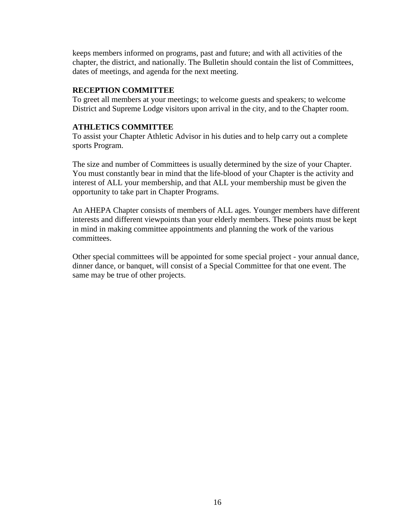keeps members informed on programs, past and future; and with all activities of the chapter, the district, and nationally. The Bulletin should contain the list of Committees, dates of meetings, and agenda for the next meeting.

### **RECEPTION COMMITTEE**

To greet all members at your meetings; to welcome guests and speakers; to welcome District and Supreme Lodge visitors upon arrival in the city, and to the Chapter room.

### **ATHLETICS COMMITTEE**

To assist your Chapter Athletic Advisor in his duties and to help carry out a complete sports Program.

The size and number of Committees is usually determined by the size of your Chapter. You must constantly bear in mind that the life-blood of your Chapter is the activity and interest of ALL your membership, and that ALL your membership must be given the opportunity to take part in Chapter Programs.

An AHEPA Chapter consists of members of ALL ages. Younger members have different interests and different viewpoints than your elderly members. These points must be kept in mind in making committee appointments and planning the work of the various committees.

Other special committees will be appointed for some special project - your annual dance, dinner dance, or banquet, will consist of a Special Committee for that one event. The same may be true of other projects.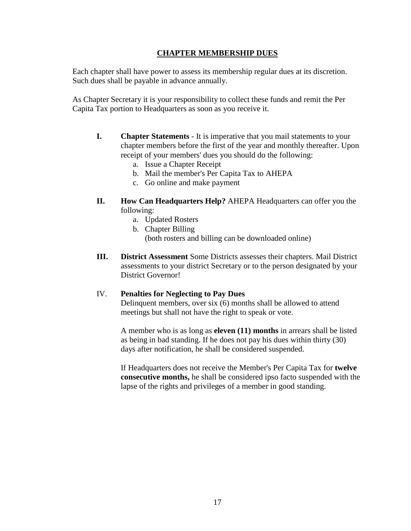## **CHAPTER MEMBERSHIP DUES**

Each chapter shall have power to assess its membership regular dues at its discretion. Such dues shall be payable in advance annually.

As Chapter Secretary it is your responsibility to collect these funds and remit the Per Capita Tax portion to Headquarters as soon as you receive it.

- **I. Chapter Statements**  It is imperative that you mail statements to your chapter members before the first of the year and monthly thereafter. Upon receipt of your members' dues you should do the following:
	- a. Issue a Chapter Receipt
	- b. Mail the member's Per Capita Tax to AHEPA
	- c. Go online and make payment
- **II. How Can Headquarters Help?** AHEPA Headquarters can offer you the following:
	- a. Updated Rosters
	- b. Chapter Billing
		- (both rosters and billing can be downloaded online)
- **III. District Assessment** Some Districts assesses their chapters. Mail District assessments to your district Secretary or to the person designated by your District Governor!

#### IV. **Penalties for Neglecting to Pay Dues**

Delinquent members, over six (6) months shall be allowed to attend meetings but shall not have the right to speak or vote.

A member who is as long as **eleven (11) months** in arrears shall be listed as being in bad standing. If he does not pay his dues within thirty (30) days after notification, he shall be considered suspended.

If Headquarters does not receive the Member's Per Capita Tax for **twelve consecutive months,** he shall be considered ipso facto suspended with the lapse of the rights and privileges of a member in good standing.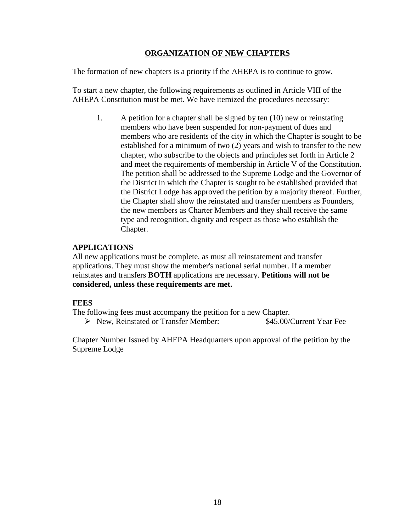### **ORGANIZATION OF NEW CHAPTERS**

The formation of new chapters is a priority if the AHEPA is to continue to grow.

To start a new chapter, the following requirements as outlined in Article VIII of the AHEPA Constitution must be met. We have itemized the procedures necessary:

1. A petition for a chapter shall be signed by ten (10) new or reinstating members who have been suspended for non-payment of dues and members who are residents of the city in which the Chapter is sought to be established for a minimum of two (2) years and wish to transfer to the new chapter, who subscribe to the objects and principles set forth in Article 2 and meet the requirements of membership in Article V of the Constitution. The petition shall be addressed to the Supreme Lodge and the Governor of the District in which the Chapter is sought to be established provided that the District Lodge has approved the petition by a majority thereof. Further, the Chapter shall show the reinstated and transfer members as Founders, the new members as Charter Members and they shall receive the same type and recognition, dignity and respect as those who establish the Chapter.

#### **APPLICATIONS**

All new applications must be complete, as must all reinstatement and transfer applications. They must show the member's national serial number. If a member reinstates and transfers **BOTH** applications are necessary. **Petitions will not be considered, unless these requirements are met.**

#### **FEES**

The following fees must accompany the petition for a new Chapter.

▶ New, Reinstated or Transfer Member: \$45.00/Current Year Fee

Chapter Number Issued by AHEPA Headquarters upon approval of the petition by the Supreme Lodge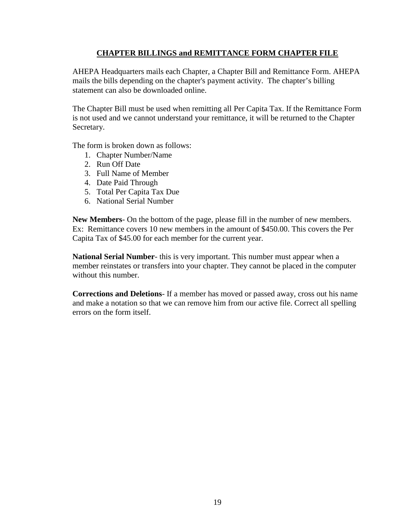## **CHAPTER BILLINGS and REMITTANCE FORM CHAPTER FILE**

AHEPA Headquarters mails each Chapter, a Chapter Bill and Remittance Form. AHEPA mails the bills depending on the chapter's payment activity. The chapter's billing statement can also be downloaded online.

The Chapter Bill must be used when remitting all Per Capita Tax. If the Remittance Form is not used and we cannot understand your remittance, it will be returned to the Chapter Secretary.

The form is broken down as follows:

- 1. Chapter Number/Name
- 2. Run Off Date
- 3. Full Name of Member
- 4. Date Paid Through
- 5. Total Per Capita Tax Due
- 6. National Serial Number

**New Members**- On the bottom of the page, please fill in the number of new members. Ex: Remittance covers 10 new members in the amount of \$450.00. This covers the Per Capita Tax of \$45.00 for each member for the current year.

**National Serial Number**- this is very important. This number must appear when a member reinstates or transfers into your chapter. They cannot be placed in the computer without this number.

**Corrections and Deletions**- If a member has moved or passed away, cross out his name and make a notation so that we can remove him from our active file. Correct all spelling errors on the form itself.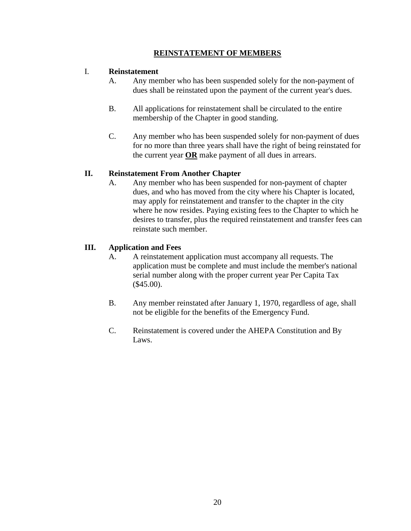## **REINSTATEMENT OF MEMBERS**

### I. **Reinstatement**

- A. Any member who has been suspended solely for the non-payment of dues shall be reinstated upon the payment of the current year's dues.
- B. All applications for reinstatement shall be circulated to the entire membership of the Chapter in good standing.
- C. Any member who has been suspended solely for non-payment of dues for no more than three years shall have the right of being reinstated for the current year **OR** make payment of all dues in arrears.

#### **II. Reinstatement From Another Chapter**

A. Any member who has been suspended for non-payment of chapter dues, and who has moved from the city where his Chapter is located, may apply for reinstatement and transfer to the chapter in the city where he now resides. Paying existing fees to the Chapter to which he desires to transfer, plus the required reinstatement and transfer fees can reinstate such member.

#### **III. Application and Fees**

- A. A reinstatement application must accompany all requests. The application must be complete and must include the member's national serial number along with the proper current year Per Capita Tax  $($ \$45.00).
- B. Any member reinstated after January 1, 1970, regardless of age, shall not be eligible for the benefits of the Emergency Fund.
- C. Reinstatement is covered under the AHEPA Constitution and By Laws.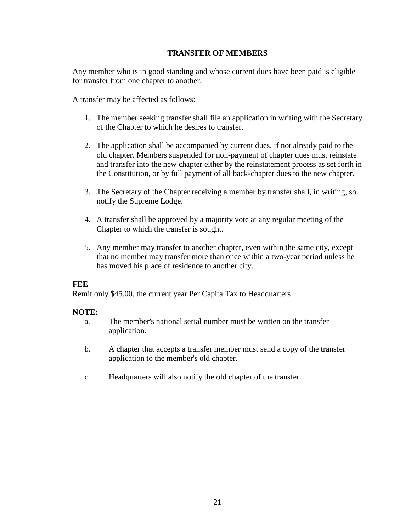## **TRANSFER OF MEMBERS**

Any member who is in good standing and whose current dues have been paid is eligible for transfer from one chapter to another.

A transfer may be affected as follows:

- 1. The member seeking transfer shall file an application in writing with the Secretary of the Chapter to which he desires to transfer.
- 2. The application shall be accompanied by current dues, if not already paid to the old chapter. Members suspended for non-payment of chapter dues must reinstate and transfer into the new chapter either by the reinstatement process as set forth in the Constitution, or by full payment of all back-chapter dues to the new chapter.
- 3. The Secretary of the Chapter receiving a member by transfer shall, in writing, so notify the Supreme Lodge.
- 4. A transfer shall be approved by a majority vote at any regular meeting of the Chapter to which the transfer is sought.
- 5. Any member may transfer to another chapter, even within the same city, except that no member may transfer more than once within a two-year period unless he has moved his place of residence to another city.

#### **FEE**

Remit only \$45.00, the current year Per Capita Tax to Headquarters

#### **NOTE:**

- a. The member's national serial number must be written on the transfer application.
- b. A chapter that accepts a transfer member must send a copy of the transfer application to the member's old chapter.
- c. Headquarters will also notify the old chapter of the transfer.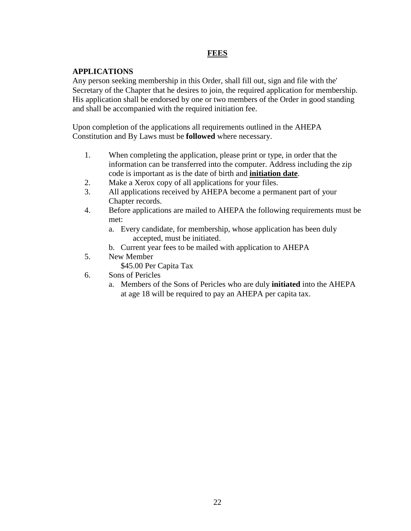## **FEES**

## **APPLICATIONS**

Any person seeking membership in this Order, shall fill out, sign and file with the' Secretary of the Chapter that he desires to join, the required application for membership. His application shall be endorsed by one or two members of the Order in good standing and shall be accompanied with the required initiation fee.

Upon completion of the applications all requirements outlined in the AHEPA Constitution and By Laws must be **followed** where necessary.

- 1. When completing the application, please print or type, in order that the information can be transferred into the computer. Address including the zip code is important as is the date of birth and **initiation date**.
- 2. Make a Xerox copy of all applications for your files.
- 3. All applications received by AHEPA become a permanent part of your Chapter records.
- 4. Before applications are mailed to AHEPA the following requirements must be met:
	- a. Every candidate, for membership, whose application has been duly accepted, must be initiated.
	- b. Current year fees to be mailed with application to AHEPA
- 5. New Member
	- \$45.00 Per Capita Tax
- 6. Sons of Pericles
	- a. Members of the Sons of Pericles who are duly **initiated** into the AHEPA at age 18 will be required to pay an AHEPA per capita tax.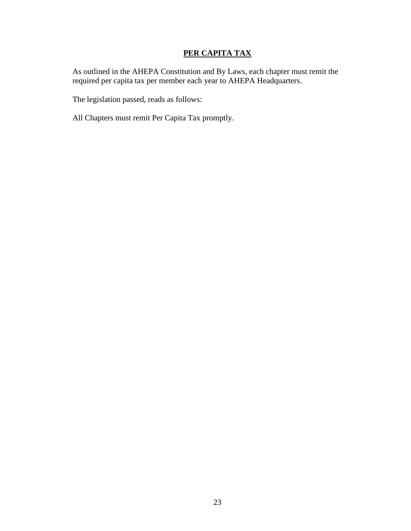# **PER CAPITA TAX**

As outlined in the AHEPA Constitution and By Laws, each chapter must remit the required per capita tax per member each year to AHEPA Headquarters.

The legislation passed, reads as follows:

All Chapters must remit Per Capita Tax promptly.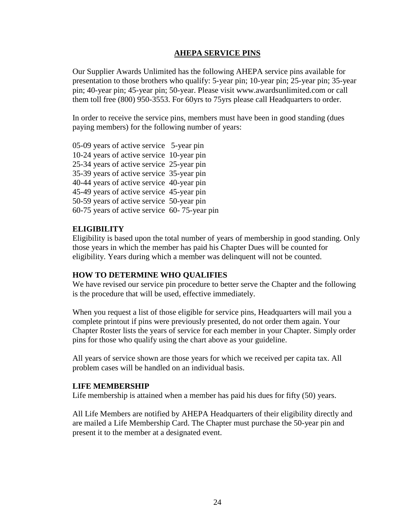#### **AHEPA SERVICE PINS**

Our Supplier Awards Unlimited has the following AHEPA service pins available for presentation to those brothers who qualify: 5-year pin; 10-year pin; 25-year pin; 35-year pin; 40-year pin; 45-year pin; 50-year. Please visit www.awardsunlimited.com or call them toll free (800) 950-3553. For 60yrs to 75yrs please call Headquarters to order.

In order to receive the service pins, members must have been in good standing (dues paying members) for the following number of years:

05-09 years of active service 5-year pin 10-24 years of active service 10-year pin 25-34 years of active service 25-year pin 35-39 years of active service 35-year pin 40-44 years of active service 40-year pin 45-49 years of active service 45-year pin 50-59 years of active service 50-year pin 60-75 years of active service 60- 75-year pin

## **ELIGIBILITY**

Eligibility is based upon the total number of years of membership in good standing. Only those years in which the member has paid his Chapter Dues will be counted for eligibility. Years during which a member was delinquent will not be counted.

#### **HOW TO DETERMINE WHO QUALIFIES**

We have revised our service pin procedure to better serve the Chapter and the following is the procedure that will be used, effective immediately.

When you request a list of those eligible for service pins, Headquarters will mail you a complete printout if pins were previously presented, do not order them again. Your Chapter Roster lists the years of service for each member in your Chapter. Simply order pins for those who qualify using the chart above as your guideline.

All years of service shown are those years for which we received per capita tax. All problem cases will be handled on an individual basis.

#### **LIFE MEMBERSHIP**

Life membership is attained when a member has paid his dues for fifty (50) years.

All Life Members are notified by AHEPA Headquarters of their eligibility directly and are mailed a Life Membership Card. The Chapter must purchase the 50-year pin and present it to the member at a designated event.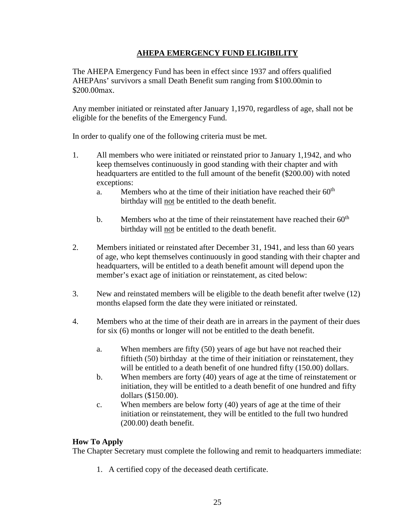## **AHEPA EMERGENCY FUND ELIGIBILITY**

The AHEPA Emergency Fund has been in effect since 1937 and offers qualified AHEPAns' survivors a small Death Benefit sum ranging from \$100.00min to \$200.00max.

Any member initiated or reinstated after January 1,1970, regardless of age, shall not be eligible for the benefits of the Emergency Fund.

In order to qualify one of the following criteria must be met.

- 1. All members who were initiated or reinstated prior to January 1,1942, and who keep themselves continuously in good standing with their chapter and with headquarters are entitled to the full amount of the benefit (\$200.00) with noted exceptions:
	- a. Members who at the time of their initiation have reached their  $60<sup>th</sup>$ birthday will not be entitled to the death benefit.
	- b. Members who at the time of their reinstatement have reached their  $60<sup>th</sup>$ birthday will not be entitled to the death benefit.
- 2. Members initiated or reinstated after December 31, 1941, and less than 60 years of age, who kept themselves continuously in good standing with their chapter and headquarters, will be entitled to a death benefit amount will depend upon the member's exact age of initiation or reinstatement, as cited below:
- 3. New and reinstated members will be eligible to the death benefit after twelve (12) months elapsed form the date they were initiated or reinstated.
- 4. Members who at the time of their death are in arrears in the payment of their dues for six (6) months or longer will not be entitled to the death benefit.
	- a. When members are fifty (50) years of age but have not reached their fiftieth (50) birthday at the time of their initiation or reinstatement, they will be entitled to a death benefit of one hundred fifty (150.00) dollars.
	- b. When members are forty (40) years of age at the time of reinstatement or initiation, they will be entitled to a death benefit of one hundred and fifty dollars (\$150.00).
	- c. When members are below forty (40) years of age at the time of their initiation or reinstatement, they will be entitled to the full two hundred (200.00) death benefit.

## **How To Apply**

The Chapter Secretary must complete the following and remit to headquarters immediate:

1. A certified copy of the deceased death certificate.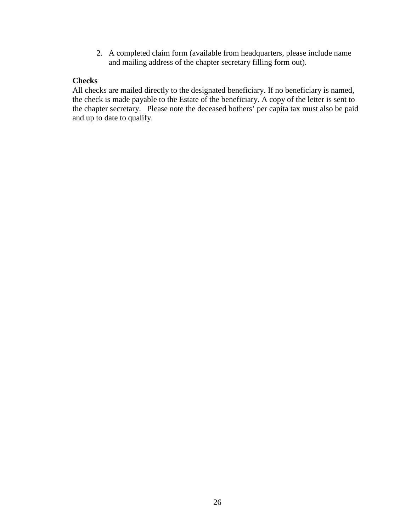2. A completed claim form (available from headquarters, please include name and mailing address of the chapter secretary filling form out).

### **Checks**

All checks are mailed directly to the designated beneficiary. If no beneficiary is named, the check is made payable to the Estate of the beneficiary. A copy of the letter is sent to the chapter secretary. Please note the deceased bothers' per capita tax must also be paid and up to date to qualify.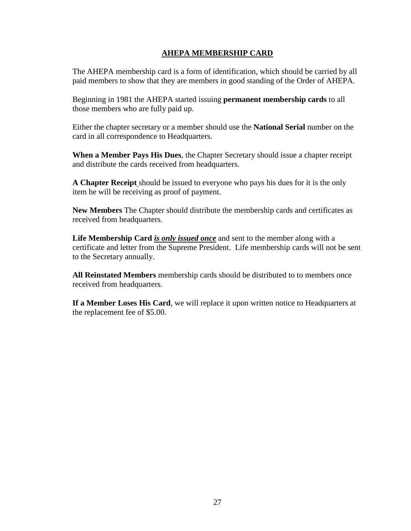### **AHEPA MEMBERSHIP CARD**

The AHEPA membership card is a form of identification, which should be carried by all paid members to show that they are members in good standing of the Order of AHEPA.

Beginning in 1981 the AHEPA started issuing **permanent membership cards** to all those members who are fully paid up.

Either the chapter secretary or a member should use the **National Serial** number on the card in all correspondence to Headquarters.

**When a Member Pays His Dues**, the Chapter Secretary should issue a chapter receipt and distribute the cards received from headquarters.

**A Chapter Receipt** should be issued to everyone who pays his dues for it is the only item he will be receiving as proof of payment.

**New Members** The Chapter should distribute the membership cards and certificates as received from headquarters.

**Life Membership Card** *is only issued once* and sent to the member along with a certificate and letter from the Supreme President. Life membership cards will not be sent to the Secretary annually.

**All Reinstated Members** membership cards should be distributed to to members once received from headquarters.

**If a Member Loses His Card**, we will replace it upon written notice to Headquarters at the replacement fee of \$5.00.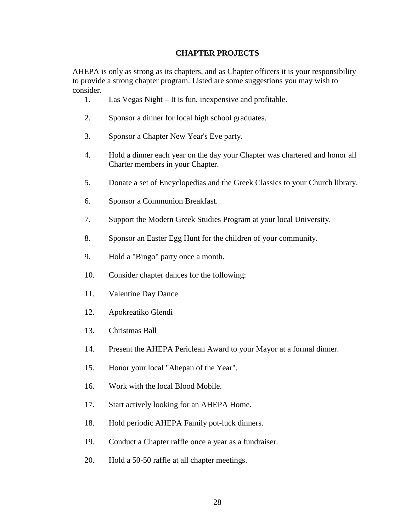#### **CHAPTER PROJECTS**

AHEPA is only as strong as its chapters, and as Chapter officers it is your responsibility to provide a strong chapter program. Listed are some suggestions you may wish to consider.

- 1. Las Vegas Night It is fun, inexpensive and profitable.
- 2. Sponsor a dinner for local high school graduates.
- 3. Sponsor a Chapter New Year's Eve party.
- 4. Hold a dinner each year on the day your Chapter was chartered and honor all Charter members in your Chapter.
- 5. Donate a set of Encyclopedias and the Greek Classics to your Church library.
- 6. Sponsor a Communion Breakfast.
- 7. Support the Modern Greek Studies Program at your local University.
- 8. Sponsor an Easter Egg Hunt for the children of your community.
- 9. Hold a "Bingo" party once a month.
- 10. Consider chapter dances for the following:
- 11. Valentine Day Dance
- 12. Apokreatiko Glendi
- 13. Christmas Ball
- 14. Present the AHEPA Periclean Award to your Mayor at a formal dinner.
- 15. Honor your local "Ahepan of the Year".
- 16. Work with the local Blood Mobile.
- 17. Start actively looking for an AHEPA Home.
- 18. Hold periodic AHEPA Family pot-luck dinners.
- 19. Conduct a Chapter raffle once a year as a fundraiser.
- 20. Hold a 50-50 raffle at all chapter meetings.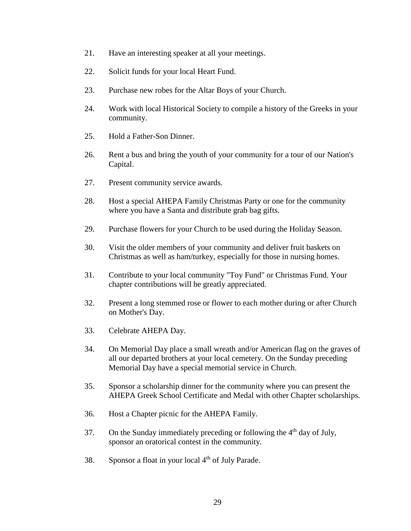- 21. Have an interesting speaker at all your meetings.
- 22. Solicit funds for your local Heart Fund.
- 23. Purchase new robes for the Altar Boys of your Church.
- 24. Work with local Historical Society to compile a history of the Greeks in your community.
- 25. Hold a Father-Son Dinner.
- 26. Rent a bus and bring the youth of your community for a tour of our Nation's Capital.
- 27. Present community service awards.
- 28. Host a special AHEPA Family Christmas Party or one for the community where you have a Santa and distribute grab bag gifts.
- 29. Purchase flowers for your Church to be used during the Holiday Season.
- 30. Visit the older members of your community and deliver fruit baskets on Christmas as well as ham/turkey, especially for those in nursing homes.
- 31. Contribute to your local community "Toy Fund" or Christmas Fund. Your chapter contributions will be greatly appreciated.
- 32. Present a long stemmed rose or flower to each mother during or after Church on Mother's Day.
- 33. Celebrate AHEPA Day.
- 34. On Memorial Day place a small wreath and/or American flag on the graves of all our departed brothers at your local cemetery. On the Sunday preceding Memorial Day have a special memorial service in Church.
- 35. Sponsor a scholarship dinner for the community where you can present the AHEPA Greek School Certificate and Medal with other Chapter scholarships.
- 36. Host a Chapter picnic for the AHEPA Family.
- 37. On the Sunday immediately preceding or following the  $4<sup>th</sup>$  day of July, sponsor an oratorical contest in the community.
- 38. Sponsor a float in your local  $4<sup>th</sup>$  of July Parade.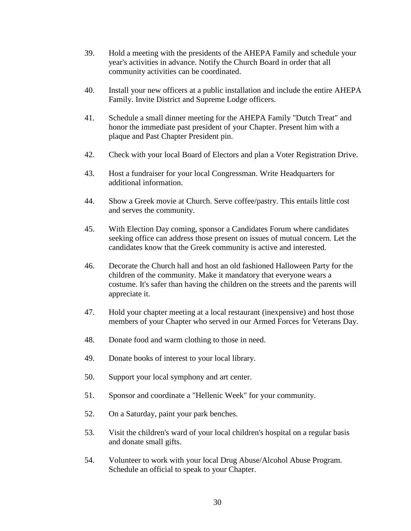- 39. Hold a meeting with the presidents of the AHEPA Family and schedule your year's activities in advance. Notify the Church Board in order that all community activities can be coordinated.
- 40. Install your new officers at a public installation and include the entire AHEPA Family. Invite District and Supreme Lodge officers.
- 41. Schedule a small dinner meeting for the AHEPA Family "Dutch Treat" and honor the immediate past president of your Chapter. Present him with a plaque and Past Chapter President pin.
- 42. Check with your local Board of Electors and plan a Voter Registration Drive.
- 43. Host a fundraiser for your local Congressman. Write Headquarters for additional information.
- 44. Show a Greek movie at Church. Serve coffee/pastry. This entails little cost and serves the community.
- 45. With Election Day coming, sponsor a Candidates Forum where candidates seeking office can address those present on issues of mutual concern. Let the candidates know that the Greek community is active and interested.
- 46. Decorate the Church hall and host an old fashioned Halloween Party for the children of the community. Make it mandatory that everyone wears a costume. It's safer than having the children on the streets and the parents will appreciate it.
- 47. Hold your chapter meeting at a local restaurant (inexpensive) and host those members of your Chapter who served in our Armed Forces for Veterans Day.
- 48. Donate food and warm clothing to those in need.
- 49. Donate books of interest to your local library.
- 50. Support your local symphony and art center.
- 51. Sponsor and coordinate a "Hellenic Week" for your community.
- 52. On a Saturday, paint your park benches.
- 53. Visit the children's ward of your local children's hospital on a regular basis and donate small gifts.
- 54. Volunteer to work with your local Drug Abuse/Alcohol Abuse Program. Schedule an official to speak to your Chapter.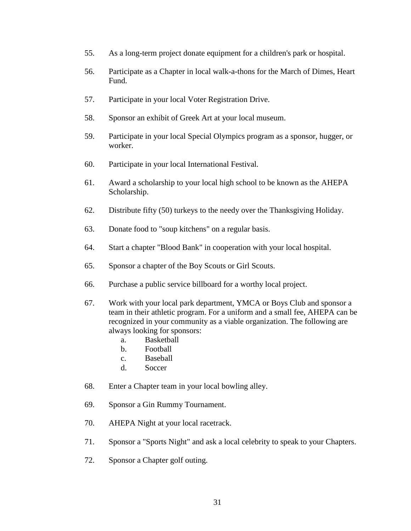- 55. As a long-term project donate equipment for a children's park or hospital.
- 56. Participate as a Chapter in local walk-a-thons for the March of Dimes, Heart Fund.
- 57. Participate in your local Voter Registration Drive.
- 58. Sponsor an exhibit of Greek Art at your local museum.
- 59. Participate in your local Special Olympics program as a sponsor, hugger, or worker.
- 60. Participate in your local International Festival.
- 61. Award a scholarship to your local high school to be known as the AHEPA Scholarship.
- 62. Distribute fifty (50) turkeys to the needy over the Thanksgiving Holiday.
- 63. Donate food to "soup kitchens" on a regular basis.
- 64. Start a chapter "Blood Bank" in cooperation with your local hospital.
- 65. Sponsor a chapter of the Boy Scouts or Girl Scouts.
- 66. Purchase a public service billboard for a worthy local project.
- 67. Work with your local park department, YMCA or Boys Club and sponsor a team in their athletic program. For a uniform and a small fee, AHEPA can be recognized in your community as a viable organization. The following are always looking for sponsors:
	- a. Basketball
	- b. Football
	- c. Baseball
	- d. Soccer
- 68. Enter a Chapter team in your local bowling alley.
- 69. Sponsor a Gin Rummy Tournament.
- 70. AHEPA Night at your local racetrack.
- 71. Sponsor a "Sports Night" and ask a local celebrity to speak to your Chapters.
- 72. Sponsor a Chapter golf outing.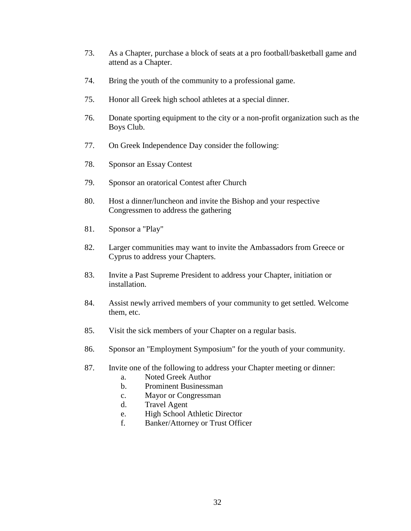- 73. As a Chapter, purchase a block of seats at a pro football/basketball game and attend as a Chapter.
- 74. Bring the youth of the community to a professional game.
- 75. Honor all Greek high school athletes at a special dinner.
- 76. Donate sporting equipment to the city or a non-profit organization such as the Boys Club.
- 77. On Greek Independence Day consider the following:
- 78. Sponsor an Essay Contest
- 79. Sponsor an oratorical Contest after Church
- 80. Host a dinner/luncheon and invite the Bishop and your respective Congressmen to address the gathering
- 81. Sponsor a "Play"
- 82. Larger communities may want to invite the Ambassadors from Greece or Cyprus to address your Chapters.
- 83. Invite a Past Supreme President to address your Chapter, initiation or installation.
- 84. Assist newly arrived members of your community to get settled. Welcome them, etc.
- 85. Visit the sick members of your Chapter on a regular basis.
- 86. Sponsor an "Employment Symposium" for the youth of your community.
- 87. Invite one of the following to address your Chapter meeting or dinner:
	- a. Noted Greek Author
	- b. Prominent Businessman
	- c. Mayor or Congressman
	- d. Travel Agent
	- e. High School Athletic Director
	- f. Banker/Attorney or Trust Officer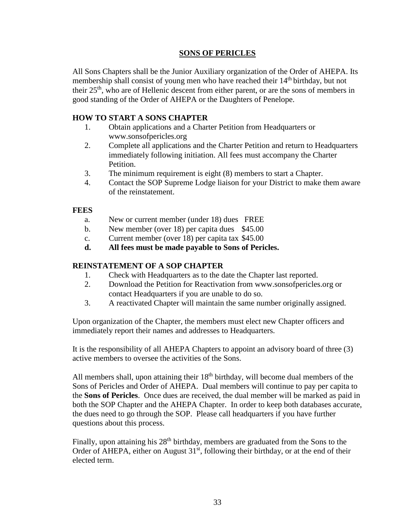#### **SONS OF PERICLES**

All Sons Chapters shall be the Junior Auxiliary organization of the Order of AHEPA. Its membership shall consist of young men who have reached their 14<sup>th</sup> birthday, but not their 25th, who are of Hellenic descent from either parent, or are the sons of members in good standing of the Order of AHEPA or the Daughters of Penelope.

### **HOW TO START A SONS CHAPTER**

- 1. Obtain applications and a Charter Petition from Headquarters or www.sonsofpericles.org
- 2. Complete all applications and the Charter Petition and return to Headquarters immediately following initiation. All fees must accompany the Charter Petition.
- 3. The minimum requirement is eight (8) members to start a Chapter.
- 4. Contact the SOP Supreme Lodge liaison for your District to make them aware of the reinstatement.

#### **FEES**

- a. New or current member (under 18) dues FREE
- b. New member (over 18) per capita dues \$45.00
- c. Current member (over 18) per capita tax \$45.00
- **d. All fees must be made payable to Sons of Pericles.**

#### **REINSTATEMENT OF A SOP CHAPTER**

- 1. Check with Headquarters as to the date the Chapter last reported.
- 2. Download the Petition for Reactivation from www.sonsofpericles.org or contact Headquarters if you are unable to do so.
- 3. A reactivated Chapter will maintain the same number originally assigned.

Upon organization of the Chapter, the members must elect new Chapter officers and immediately report their names and addresses to Headquarters.

It is the responsibility of all AHEPA Chapters to appoint an advisory board of three (3) active members to oversee the activities of the Sons.

All members shall, upon attaining their  $18<sup>th</sup>$  birthday, will become dual members of the Sons of Pericles and Order of AHEPA. Dual members will continue to pay per capita to the **Sons of Pericles**. Once dues are received, the dual member will be marked as paid in both the SOP Chapter and the AHEPA Chapter. In order to keep both databases accurate, the dues need to go through the SOP. Please call headquarters if you have further questions about this process.

Finally, upon attaining his  $28<sup>th</sup>$  birthday, members are graduated from the Sons to the Order of AHEPA, either on August  $31<sup>st</sup>$ , following their birthday, or at the end of their elected term.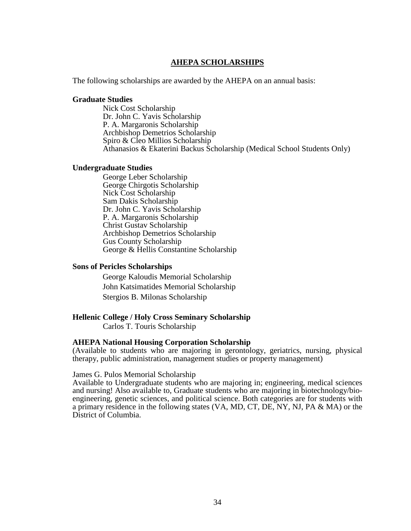#### **AHEPA SCHOLARSHIPS**

The following scholarships are awarded by the AHEPA on an annual basis:

#### **Graduate Studies**

Nick Cost Scholarship Dr. John C. Yavis Scholarship P. A. Margaronis Scholarship Archbishop Demetrios Scholarship Spiro & Cleo Millios Scholarship Athanasios & Ekaterini Backus Scholarship (Medical School Students Only)

#### **Undergraduate Studies**

George Leber Scholarship George Chirgotis Scholarship Nick Cost Scholarship Sam Dakis Scholarship Dr. John C. Yavis Scholarship P. A. Margaronis Scholarship Christ Gustav Scholarship Archbishop Demetrios Scholarship Gus County Scholarship George & Hellis Constantine Scholarship

#### **Sons of Pericles Scholarships**

 George Kaloudis Memorial Scholarship John Katsimatides Memorial Scholarship Stergios B. Milonas Scholarship

#### **Hellenic College / Holy Cross Seminary Scholarship**

Carlos T. Touris Scholarship

#### **AHEPA National Housing Corporation Scholarship**

(Available to students who are majoring in gerontology, geriatrics, nursing, physical therapy, public administration, management studies or property management)

#### James G. Pulos Memorial Scholarship

Available to Undergraduate students who are majoring in; engineering, medical sciences and nursing! Also available to, Graduate students who are majoring in biotechnology/bioengineering, genetic sciences, and political science. Both categories are for students with a primary residence in the following states (VA, MD, CT, DE, NY, NJ, PA & MA) or the District of Columbia.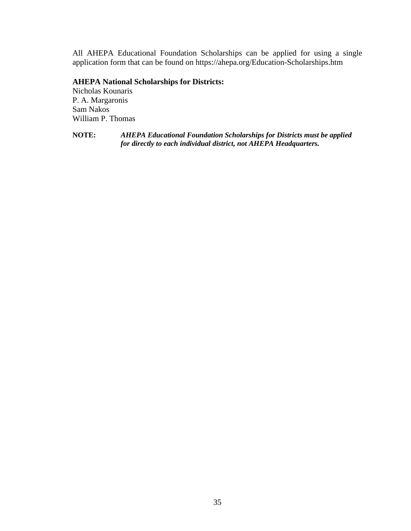All AHEPA Educational Foundation Scholarships can be applied for using a single application form that can be found on https://ahepa.org/Education-Scholarships.htm

## **AHEPA National Scholarships for Districts:**

Nicholas Kounaris P. A. Margaronis Sam Nakos William P. Thomas

**NOTE:** *AHEPA Educational Foundation Scholarships for Districts must be applied for directly to each individual district, not AHEPA Headquarters.*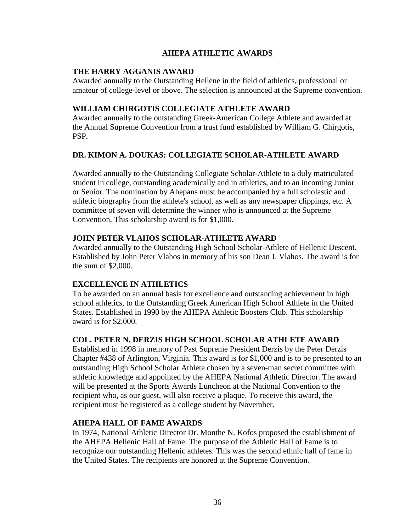## **AHEPA ATHLETIC AWARDS**

#### **THE HARRY AGGANIS AWARD**

Awarded annually to the Outstanding Hellene in the field of athletics, professional or amateur of college-level or above. The selection is announced at the Supreme convention.

#### **WILLIAM CHIRGOTIS COLLEGIATE ATHLETE AWARD**

Awarded annually to the outstanding Greek-American College Athlete and awarded at the Annual Supreme Convention from a trust fund established by William G. Chirgotis, PSP.

## **DR. KIMON A. DOUKAS: COLLEGIATE SCHOLAR-ATHLETE AWARD**

Awarded annually to the Outstanding Collegiate Scholar-Athlete to a duly matriculated student in college, outstanding academically and in athletics, and to an incoming Junior or Senior. The nomination by Ahepans must be accompanied by a full scholastic and athletic biography from the athlete's school, as well as any newspaper clippings, etc. A committee of seven will determine the winner who is announced at the Supreme Convention. This scholarship award is for \$1,000.

#### **JOHN PETER VLAHOS SCHOLAR-ATHLETE AWARD**

Awarded annually to the Outstanding High School Scholar-Athlete of Hellenic Descent. Established by John Peter Vlahos in memory of his son Dean J. Vlahos. The award is for the sum of \$2,000.

## **EXCELLENCE IN ATHLETICS**

To be awarded on an annual basis for excellence and outstanding achievement in high school athletics, to the Outstanding Greek American High School Athlete in the United States. Established in 1990 by the AHEPA Athletic Boosters Club. This scholarship award is for \$2,000.

## **COL. PETER N. DERZIS HIGH SCHOOL SCHOLAR ATHLETE AWARD**

Established in 1998 in memory of Past Supreme President Derzis by the Peter Derzis Chapter #438 of Arlington, Virginia. This award is for \$1,000 and is to be presented to an outstanding High School Scholar Athlete chosen by a seven-man secret committee with athletic knowledge and appointed by the AHEPA National Athletic Director. The award will be presented at the Sports Awards Luncheon at the National Convention to the recipient who, as our guest, will also receive a plaque. To receive this award, the recipient must be registered as a college student by November.

#### **AHEPA HALL OF FAME AWARDS**

In 1974, National Athletic Director Dr. Monthe N. Kofos proposed the establishment of the AHEPA Hellenic Hall of Fame. The purpose of the Athletic Hall of Fame is to recognize our outstanding Hellenic athletes. This was the second ethnic hall of fame in the United States. The recipients are honored at the Supreme Convention.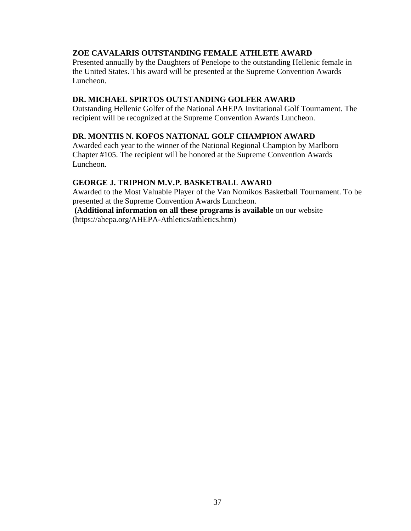#### **ZOE CAVALARIS OUTSTANDING FEMALE ATHLETE AWARD**

Presented annually by the Daughters of Penelope to the outstanding Hellenic female in the United States. This award will be presented at the Supreme Convention Awards Luncheon.

#### **DR. MICHAEL SPIRTOS OUTSTANDING GOLFER AWARD**

Outstanding Hellenic Golfer of the National AHEPA Invitational Golf Tournament. The recipient will be recognized at the Supreme Convention Awards Luncheon.

### **DR. MONTHS N. KOFOS NATIONAL GOLF CHAMPION AWARD**

Awarded each year to the winner of the National Regional Champion by Marlboro Chapter #105. The recipient will be honored at the Supreme Convention Awards Luncheon.

#### **GEORGE J. TRIPHON M.V.P. BASKETBALL AWARD**

Awarded to the Most Valuable Player of the Van Nomikos Basketball Tournament. To be presented at the Supreme Convention Awards Luncheon.

 **(Additional information on all these programs is available** on our website (https://ahepa.org/AHEPA-Athletics/athletics.htm)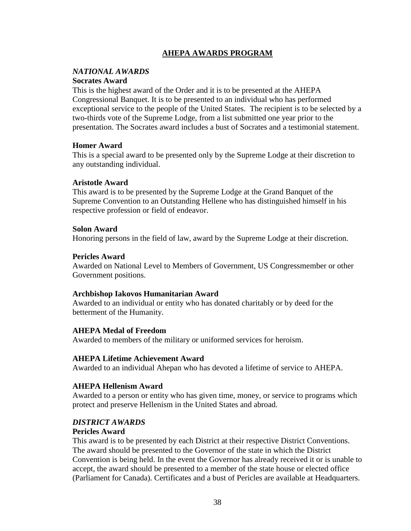## **AHEPA AWARDS PROGRAM**

#### *NATIONAL AWARDS* **Socrates Award**

This is the highest award of the Order and it is to be presented at the AHEPA Congressional Banquet. It is to be presented to an individual who has performed

exceptional service to the people of the United States. The recipient is to be selected by a two-thirds vote of the Supreme Lodge, from a list submitted one year prior to the presentation. The Socrates award includes a bust of Socrates and a testimonial statement.

#### **Homer Award**

This is a special award to be presented only by the Supreme Lodge at their discretion to any outstanding individual.

#### **Aristotle Award**

This award is to be presented by the Supreme Lodge at the Grand Banquet of the Supreme Convention to an Outstanding Hellene who has distinguished himself in his respective profession or field of endeavor.

#### **Solon Award**

Honoring persons in the field of law, award by the Supreme Lodge at their discretion.

#### **Pericles Award**

Awarded on National Level to Members of Government, US Congressmember or other Government positions.

#### **Archbishop Iakovos Humanitarian Award**

Awarded to an individual or entity who has donated charitably or by deed for the betterment of the Humanity.

#### **AHEPA Medal of Freedom**

Awarded to members of the military or uniformed services for heroism.

#### **AHEPA Lifetime Achievement Award**

Awarded to an individual Ahepan who has devoted a lifetime of service to AHEPA.

#### **AHEPA Hellenism Award**

Awarded to a person or entity who has given time, money, or service to programs which protect and preserve Hellenism in the United States and abroad.

#### *DISTRICT AWARDS*

#### **Pericles Award**

This award is to be presented by each District at their respective District Conventions. The award should be presented to the Governor of the state in which the District Convention is being held. In the event the Governor has already received it or is unable to accept, the award should be presented to a member of the state house or elected office (Parliament for Canada). Certificates and a bust of Pericles are available at Headquarters.